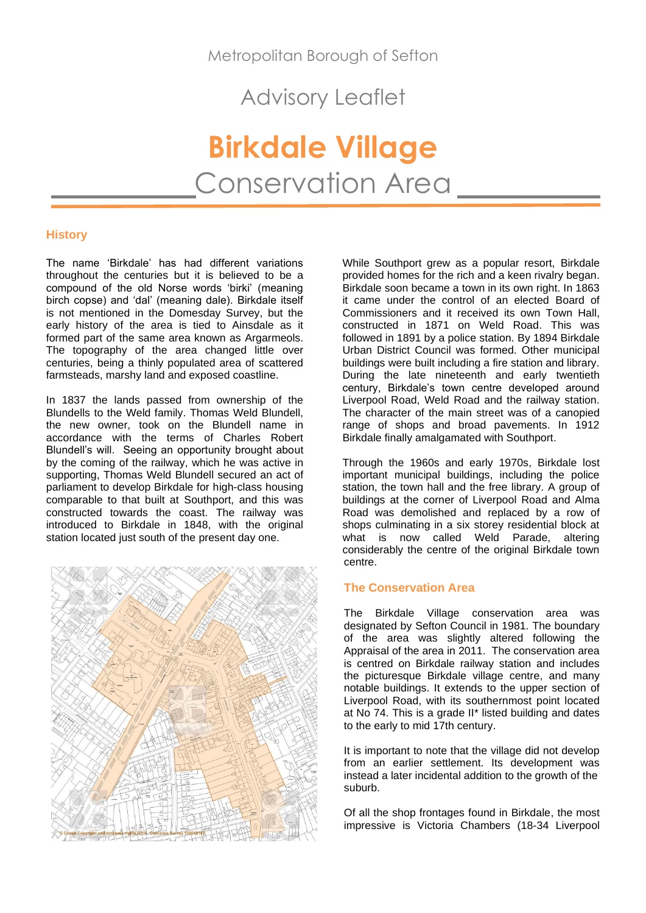Metropolitan Borough of Sefton

Advisory Leaflet

**Birkdale Village** Conservation Area

# **History**

The name 'Birkdale' has had different variations throughout the centuries but it is believed to be a compound of the old Norse words 'birki' (meaning birch copse) and 'dal' (meaning dale). Birkdale itself is not mentioned in the Domesday Survey, but the early history of the area is tied to Ainsdale as it formed part of the same area known as Argarmeols. The topography of the area changed little over centuries, being a thinly populated area of scattered farmsteads, marshy land and exposed coastline.

In 1837 the lands passed from ownership of the Blundells to the Weld family. Thomas Weld Blundell, the new owner, took on the Blundell name in accordance with the terms of Charles Robert Blundell's will. Seeing an opportunity brought about by the coming of the railway, which he was active in supporting, Thomas Weld Blundell secured an act of parliament to develop Birkdale for high-class housing comparable to that built at Southport, and this was constructed towards the coast. The railway was introduced to Birkdale in 1848, with the original station located just south of the present day one.



While Southport grew as a popular resort, Birkdale provided homes for the rich and a keen rivalry began. Birkdale soon became a town in its own right. In 1863 it came under the control of an elected Board of Commissioners and it received its own Town Hall, constructed in 1871 on Weld Road. This was followed in 1891 by a police station. By 1894 Birkdale Urban District Council was formed. Other municipal buildings were built including a fire station and library. During the late nineteenth and early twentieth century, Birkdale's town centre developed around Liverpool Road, Weld Road and the railway station. The character of the main street was of a canopied range of shops and broad pavements. In 1912 Birkdale finally amalgamated with Southport.

Through the 1960s and early 1970s, Birkdale lost important municipal buildings, including the police station, the town hall and the free library. A group of buildings at the corner of Liverpool Road and Alma Road was demolished and replaced by a row of shops culminating in a six storey residential block at what is now called Weld Parade, altering considerably the centre of the original Birkdale town centre.

# **The Conservation Area**

The Birkdale Village conservation area was designated by Sefton Council in 1981. The boundary of the area was slightly altered following the Appraisal of the area in 2011. The conservation area is centred on Birkdale railway station and includes the picturesque Birkdale village centre, and many notable buildings. It extends to the upper section of Liverpool Road, with its southernmost point located at No 74. This is a grade II\* listed building and dates to the early to mid 17th century.

It is important to note that the village did not develop from an earlier settlement. Its development was instead a later incidental addition to the growth of the suburb.

Of all the shop frontages found in Birkdale, the most impressive is Victoria Chambers (18-34 Liverpool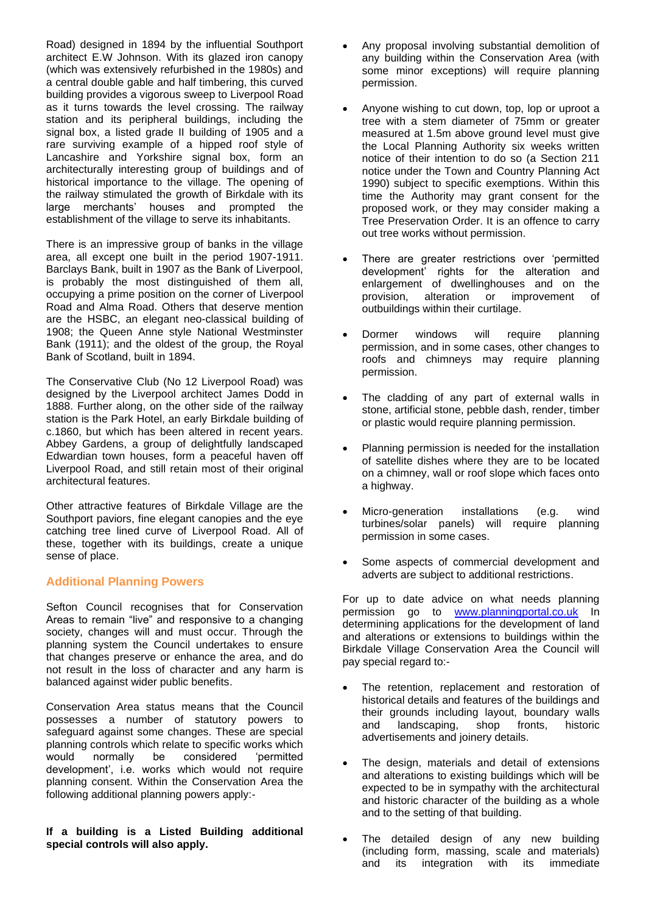Road) designed in 1894 by the influential Southport architect E.W Johnson. With its glazed iron canopy (which was extensively refurbished in the 1980s) and a central double gable and half timbering, this curved building provides a vigorous sweep to Liverpool Road as it turns towards the level crossing. The railway station and its peripheral buildings, including the signal box, a listed grade II building of 1905 and a rare surviving example of a hipped roof style of Lancashire and Yorkshire signal box, form an architecturally interesting group of buildings and of historical importance to the village. The opening of the railway stimulated the growth of Birkdale with its large merchants' houses and prompted the establishment of the village to serve its inhabitants.

There is an impressive group of banks in the village area, all except one built in the period 1907-1911. Barclays Bank, built in 1907 as the Bank of Liverpool, is probably the most distinguished of them all, occupying a prime position on the corner of Liverpool Road and Alma Road. Others that deserve mention are the HSBC, an elegant neo-classical building of 1908; the Queen Anne style National Westminster Bank (1911); and the oldest of the group, the Royal Bank of Scotland, built in 1894.

The Conservative Club (No 12 Liverpool Road) was designed by the Liverpool architect James Dodd in 1888. Further along, on the other side of the railway station is the Park Hotel, an early Birkdale building of c.1860, but which has been altered in recent years. Abbey Gardens, a group of delightfully landscaped Edwardian town houses, form a peaceful haven off Liverpool Road, and still retain most of their original architectural features.

Other attractive features of Birkdale Village are the Southport paviors, fine elegant canopies and the eye catching tree lined curve of Liverpool Road. All of these, together with its buildings, create a unique sense of place.

# **Additional Planning Powers**

Sefton Council recognises that for Conservation Areas to remain "live" and responsive to a changing society, changes will and must occur. Through the planning system the Council undertakes to ensure that changes preserve or enhance the area, and do not result in the loss of character and any harm is balanced against wider public benefits.

Conservation Area status means that the Council possesses a number of statutory powers to safeguard against some changes. These are special planning controls which relate to specific works which would normally be considered 'permitted development', i.e. works which would not require planning consent. Within the Conservation Area the following additional planning powers apply:-

## **If a building is a Listed Building additional special controls will also apply.**

- Any proposal involving substantial demolition of any building within the Conservation Area (with some minor exceptions) will require planning permission.
- Anyone wishing to cut down, top, lop or uproot a tree with a stem diameter of 75mm or greater measured at 1.5m above ground level must give the Local Planning Authority six weeks written notice of their intention to do so (a Section 211 notice under the Town and Country Planning Act 1990) subject to specific exemptions. Within this time the Authority may grant consent for the proposed work, or they may consider making a Tree Preservation Order. It is an offence to carry out tree works without permission.
- There are greater restrictions over 'permitted development' rights for the alteration and enlargement of dwellinghouses and on the provision, alteration or improvement of outbuildings within their curtilage.
- Dormer windows will require planning permission, and in some cases, other changes to roofs and chimneys may require planning permission.
- The cladding of any part of external walls in stone, artificial stone, pebble dash, render, timber or plastic would require planning permission.
- Planning permission is needed for the installation of satellite dishes where they are to be located on a chimney, wall or roof slope which faces onto a highway.
- Micro-generation installations (e.g. wind turbines/solar panels) will require planning permission in some cases.
- Some aspects of commercial development and adverts are subject to additional restrictions.

For up to date advice on what needs planning permission go to [www.planningportal.co.uk](http://www.planningportal.co.uk/) In determining applications for the development of land and alterations or extensions to buildings within the Birkdale Village Conservation Area the Council will pay special regard to:-

- The retention, replacement and restoration of historical details and features of the buildings and their grounds including layout, boundary walls and landscaping, shop fronts, historic advertisements and joinery details.
- The design, materials and detail of extensions and alterations to existing buildings which will be expected to be in sympathy with the architectural and historic character of the building as a whole and to the setting of that building.
- The detailed design of any new building (including form, massing, scale and materials) and its integration with its immediate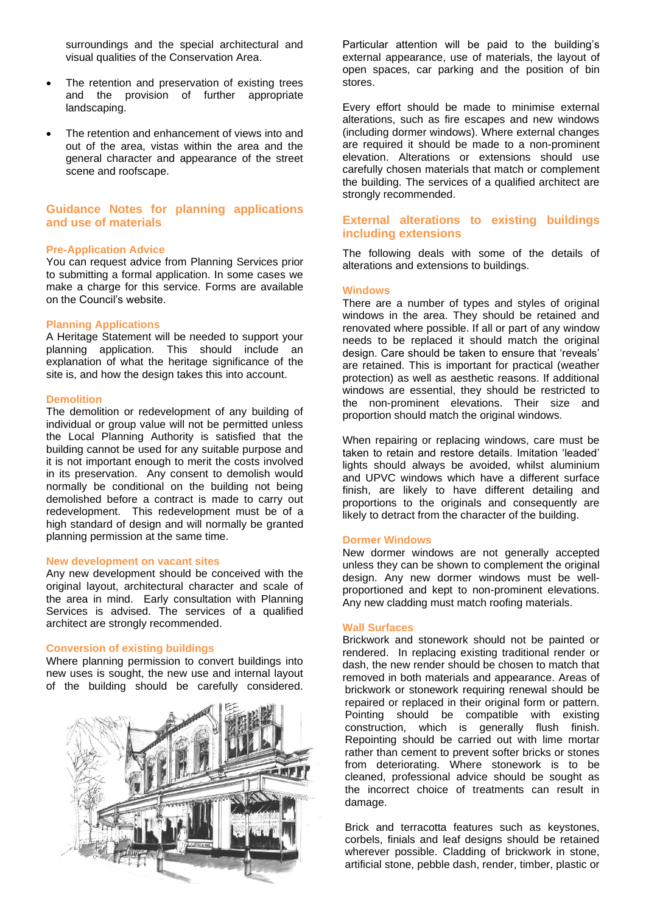surroundings and the special architectural and visual qualities of the Conservation Area.

- The retention and preservation of existing trees and the provision of further appropriate landscaping.
- The retention and enhancement of views into and out of the area, vistas within the area and the general character and appearance of the street scene and roofscape.

# **Guidance Notes for planning applications and use of materials**

#### **Pre-Application Advice**

You can request advice from Planning Services prior to submitting a formal application. In some cases we make a charge for this service. Forms are available on the Council's website.

#### **Planning Applications**

A Heritage Statement will be needed to support your planning application. This should include an explanation of what the heritage significance of the site is, and how the design takes this into account.

### **Demolition**

The demolition or redevelopment of any building of individual or group value will not be permitted unless the Local Planning Authority is satisfied that the building cannot be used for any suitable purpose and it is not important enough to merit the costs involved in its preservation. Any consent to demolish would normally be conditional on the building not being demolished before a contract is made to carry out redevelopment. This redevelopment must be of a high standard of design and will normally be granted planning permission at the same time.

#### **New development on vacant sites**

Any new development should be conceived with the original layout, architectural character and scale of the area in mind. Early consultation with Planning Services is advised. The services of a qualified architect are strongly recommended.

## **Conversion of existing buildings**

Where planning permission to convert buildings into new uses is sought, the new use and internal layout of the building should be carefully considered.



Particular attention will be paid to the building's external appearance, use of materials, the layout of open spaces, car parking and the position of bin stores.

Every effort should be made to minimise external alterations, such as fire escapes and new windows (including dormer windows). Where external changes are required it should be made to a non-prominent elevation. Alterations or extensions should use carefully chosen materials that match or complement the building. The services of a qualified architect are strongly recommended.

# **External alterations to existing buildings including extensions**

The following deals with some of the details of alterations and extensions to buildings.

### **Windows**

There are a number of types and styles of original windows in the area. They should be retained and renovated where possible. If all or part of any window needs to be replaced it should match the original design. Care should be taken to ensure that 'reveals' are retained. This is important for practical (weather protection) as well as aesthetic reasons. If additional windows are essential, they should be restricted to the non-prominent elevations. Their size and proportion should match the original windows.

When repairing or replacing windows, care must be taken to retain and restore details. Imitation 'leaded' lights should always be avoided, whilst aluminium and UPVC windows which have a different surface finish, are likely to have different detailing and proportions to the originals and consequently are likely to detract from the character of the building.

#### **Dormer Windows**

New dormer windows are not generally accepted unless they can be shown to complement the original design. Any new dormer windows must be wellproportioned and kept to non-prominent elevations. Any new cladding must match roofing materials.

#### **Wall Surfaces**

Brickwork and stonework should not be painted or rendered. In replacing existing traditional render or dash, the new render should be chosen to match that removed in both materials and appearance. Areas of brickwork or stonework requiring renewal should be repaired or replaced in their original form or pattern. Pointing should be compatible with existing construction, which is generally flush finish. Repointing should be carried out with lime mortar rather than cement to prevent softer bricks or stones from deteriorating. Where stonework is to be cleaned, professional advice should be sought as the incorrect choice of treatments can result in damage.

Brick and terracotta features such as keystones, corbels, finials and leaf designs should be retained wherever possible. Cladding of brickwork in stone, artificial stone, pebble dash, render, timber, plastic or